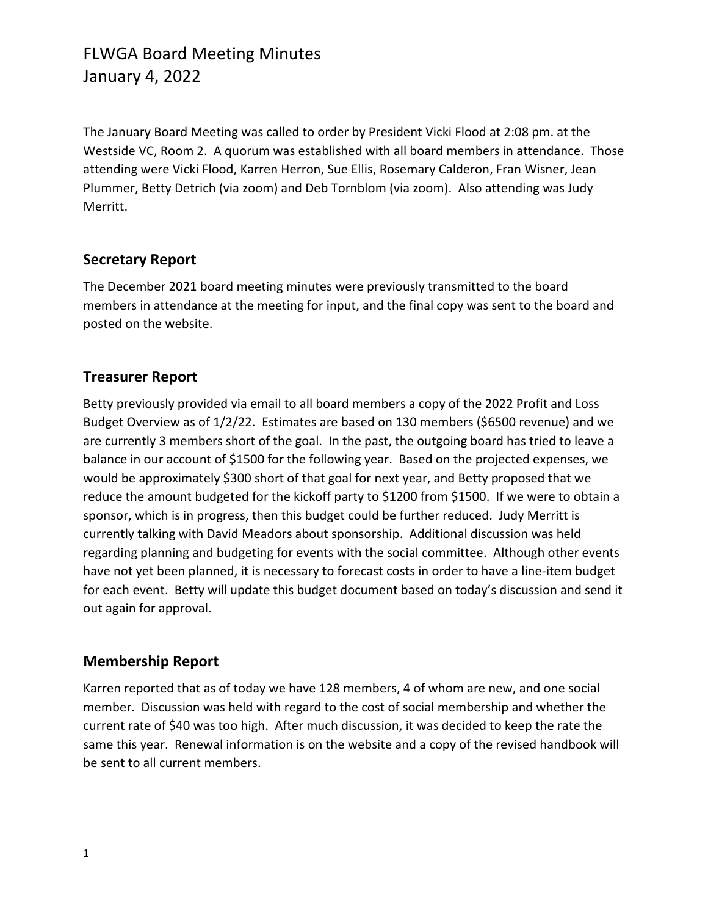## FLWGA Board Meeting Minutes January 4, 2022

The January Board Meeting was called to order by President Vicki Flood at 2:08 pm. at the Westside VC, Room 2. A quorum was established with all board members in attendance. Those attending were Vicki Flood, Karren Herron, Sue Ellis, Rosemary Calderon, Fran Wisner, Jean Plummer, Betty Detrich (via zoom) and Deb Tornblom (via zoom). Also attending was Judy Merritt.

#### **Secretary Report**

The December 2021 board meeting minutes were previously transmitted to the board members in attendance at the meeting for input, and the final copy was sent to the board and posted on the website.

## **Treasurer Report**

Betty previously provided via email to all board members a copy of the 2022 Profit and Loss Budget Overview as of 1/2/22. Estimates are based on 130 members (\$6500 revenue) and we are currently 3 members short of the goal. In the past, the outgoing board has tried to leave a balance in our account of \$1500 for the following year. Based on the projected expenses, we would be approximately \$300 short of that goal for next year, and Betty proposed that we reduce the amount budgeted for the kickoff party to \$1200 from \$1500. If we were to obtain a sponsor, which is in progress, then this budget could be further reduced. Judy Merritt is currently talking with David Meadors about sponsorship. Additional discussion was held regarding planning and budgeting for events with the social committee. Although other events have not yet been planned, it is necessary to forecast costs in order to have a line-item budget for each event. Betty will update this budget document based on today's discussion and send it out again for approval.

#### **Membership Report**

Karren reported that as of today we have 128 members, 4 of whom are new, and one social member. Discussion was held with regard to the cost of social membership and whether the current rate of \$40 was too high. After much discussion, it was decided to keep the rate the same this year. Renewal information is on the website and a copy of the revised handbook will be sent to all current members.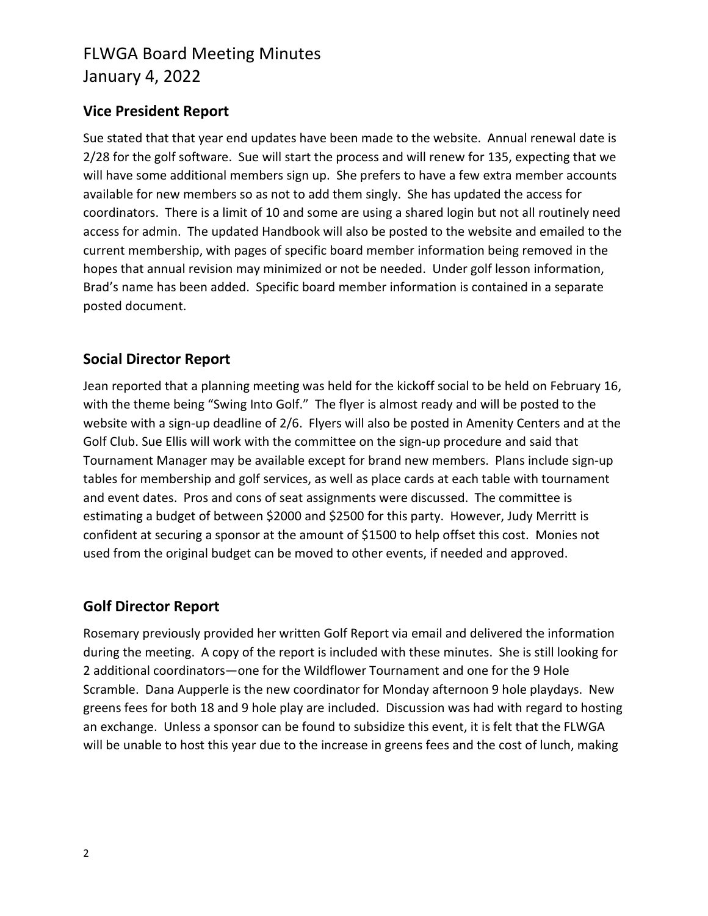## FLWGA Board Meeting Minutes January 4, 2022

### **Vice President Report**

Sue stated that that year end updates have been made to the website. Annual renewal date is 2/28 for the golf software. Sue will start the process and will renew for 135, expecting that we will have some additional members sign up. She prefers to have a few extra member accounts available for new members so as not to add them singly. She has updated the access for coordinators. There is a limit of 10 and some are using a shared login but not all routinely need access for admin. The updated Handbook will also be posted to the website and emailed to the current membership, with pages of specific board member information being removed in the hopes that annual revision may minimized or not be needed. Under golf lesson information, Brad's name has been added. Specific board member information is contained in a separate posted document.

#### **Social Director Report**

Jean reported that a planning meeting was held for the kickoff social to be held on February 16, with the theme being "Swing Into Golf." The flyer is almost ready and will be posted to the website with a sign-up deadline of 2/6. Flyers will also be posted in Amenity Centers and at the Golf Club. Sue Ellis will work with the committee on the sign-up procedure and said that Tournament Manager may be available except for brand new members. Plans include sign-up tables for membership and golf services, as well as place cards at each table with tournament and event dates. Pros and cons of seat assignments were discussed. The committee is estimating a budget of between \$2000 and \$2500 for this party. However, Judy Merritt is confident at securing a sponsor at the amount of \$1500 to help offset this cost. Monies not used from the original budget can be moved to other events, if needed and approved.

## **Golf Director Report**

Rosemary previously provided her written Golf Report via email and delivered the information during the meeting. A copy of the report is included with these minutes. She is still looking for 2 additional coordinators—one for the Wildflower Tournament and one for the 9 Hole Scramble. Dana Aupperle is the new coordinator for Monday afternoon 9 hole playdays. New greens fees for both 18 and 9 hole play are included. Discussion was had with regard to hosting an exchange. Unless a sponsor can be found to subsidize this event, it is felt that the FLWGA will be unable to host this year due to the increase in greens fees and the cost of lunch, making